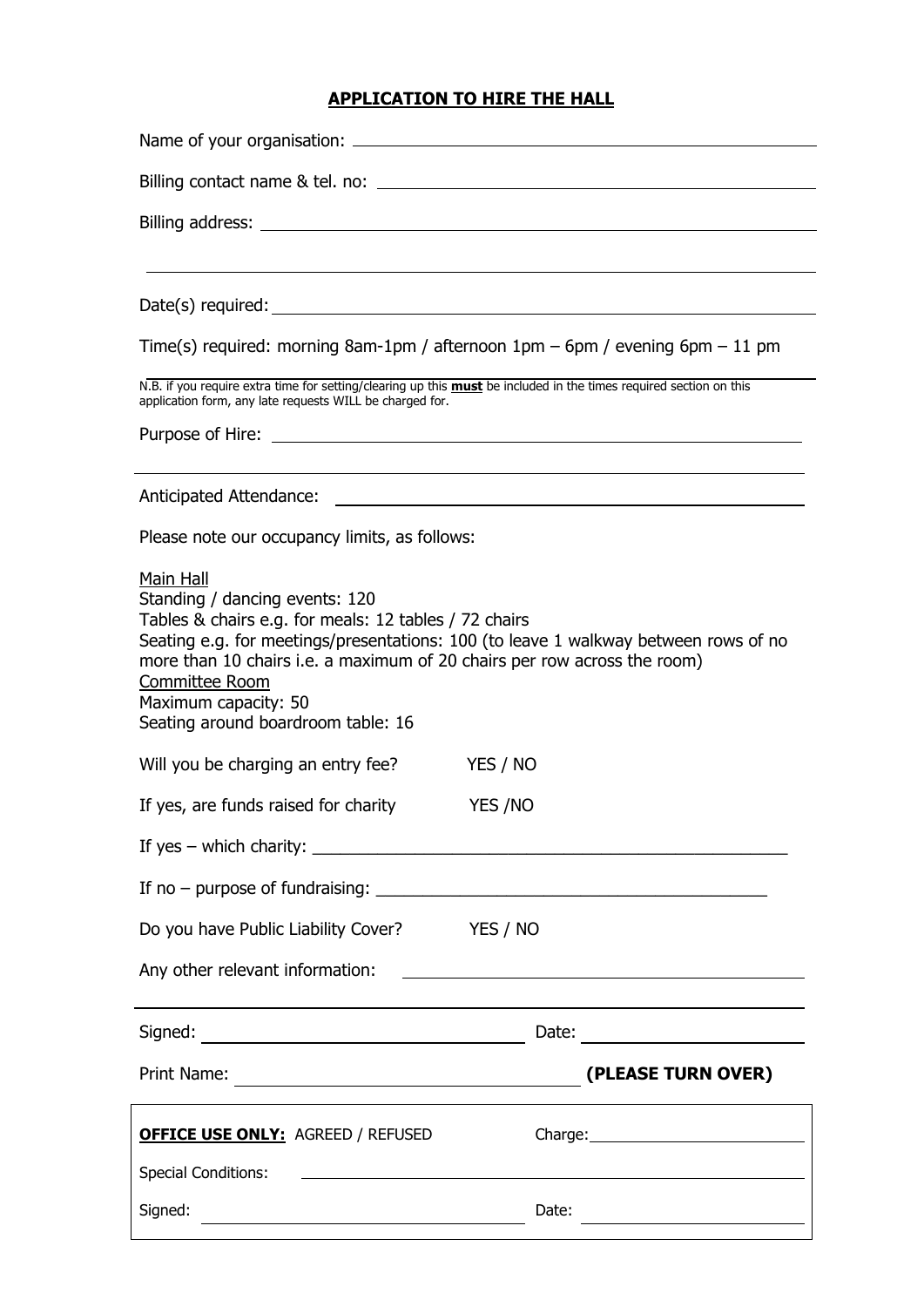# **APPLICATION TO HIRE THE HALL**

| Time(s) required: morning 8am-1pm / afternoon 1pm – 6pm / evening 6pm – 11 pm<br>N.B. if you require extra time for setting/clearing up this <b>must</b> be included in the times required section on this<br>application form, any late requests WILL be charged for.                                                                                  |                                                                            |
|---------------------------------------------------------------------------------------------------------------------------------------------------------------------------------------------------------------------------------------------------------------------------------------------------------------------------------------------------------|----------------------------------------------------------------------------|
|                                                                                                                                                                                                                                                                                                                                                         |                                                                            |
|                                                                                                                                                                                                                                                                                                                                                         |                                                                            |
|                                                                                                                                                                                                                                                                                                                                                         |                                                                            |
|                                                                                                                                                                                                                                                                                                                                                         |                                                                            |
|                                                                                                                                                                                                                                                                                                                                                         |                                                                            |
|                                                                                                                                                                                                                                                                                                                                                         |                                                                            |
|                                                                                                                                                                                                                                                                                                                                                         |                                                                            |
|                                                                                                                                                                                                                                                                                                                                                         |                                                                            |
|                                                                                                                                                                                                                                                                                                                                                         |                                                                            |
| Please note our occupancy limits, as follows:                                                                                                                                                                                                                                                                                                           |                                                                            |
| Main Hall<br>Standing / dancing events: 120<br>Tables & chairs e.g. for meals: 12 tables / 72 chairs<br>Seating e.g. for meetings/presentations: 100 (to leave 1 walkway between rows of no<br>more than 10 chairs i.e. a maximum of 20 chairs per row across the room)<br>Committee Room<br>Maximum capacity: 50<br>Seating around boardroom table: 16 |                                                                            |
| Will you be charging an entry fee?<br>YES / NO                                                                                                                                                                                                                                                                                                          |                                                                            |
| If yes, are funds raised for charity YES /NO                                                                                                                                                                                                                                                                                                            |                                                                            |
| If yes $-$ which charity: $\sqrt{2}$                                                                                                                                                                                                                                                                                                                    |                                                                            |
| If no $-$ purpose of fundraising: $\sqrt{2}$ = $\sqrt{2}$ = $\sqrt{2}$ = $\sqrt{2}$ = $\sqrt{2}$ = $\sqrt{2}$ = $\sqrt{2}$ = $\sqrt{2}$ = $\sqrt{2}$ = $\sqrt{2}$ = $\sqrt{2}$ = $\sqrt{2}$ = $\sqrt{2}$ = $\sqrt{2}$ = $\sqrt{2}$ = $\sqrt{2}$ = $\sqrt{2}$ = $\sqrt{2}$ = $\sqrt{2}$                                                                  |                                                                            |
| Do you have Public Liability Cover? YES / NO                                                                                                                                                                                                                                                                                                            |                                                                            |
| Any other relevant information:<br><u> 1980 - Andrea Andrew Maria (h. 1980).</u>                                                                                                                                                                                                                                                                        |                                                                            |
| Date: ________________________                                                                                                                                                                                                                                                                                                                          |                                                                            |
| (PLEASE TURN OVER)<br>Print Name:<br><u> 1989 - Johann Barn, mars eta bainar eta idazlea (</u>                                                                                                                                                                                                                                                          |                                                                            |
| <b>OFFICE USE ONLY: AGREED / REFUSED</b>                                                                                                                                                                                                                                                                                                                |                                                                            |
| <b>Special Conditions:</b><br><u>and the state of the state of the state of the state of the state of the state of the state of the state of the state of the state of the state of the state of the state of the state of the state of the state of the state</u>                                                                                      |                                                                            |
| Signed:<br>Date:<br><u> 1989 - Johann Stein, marwolaethau a bhann an t-Amhain an t-Amhain an t-Amhain an t-Amhain an t-Amhain an t-A</u>                                                                                                                                                                                                                | the control of the control of the control of the control of the control of |